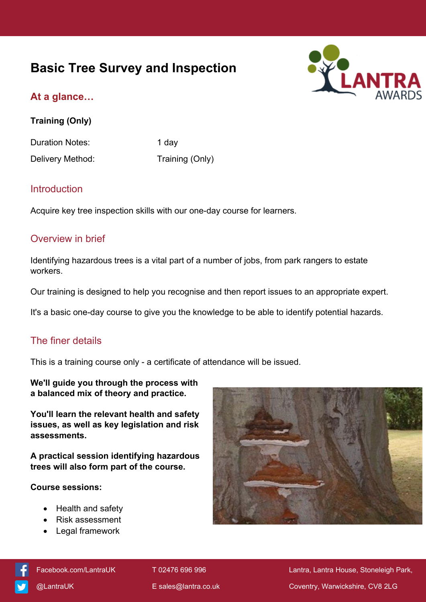# **Basic Tree Survey and Inspection**



# **At a glance…**

**Training (Only)**

Duration Notes: 1 day

Delivery Method: Training (Only)

## Introduction

Acquire key tree inspection skills with our one-day course for learners.

## Overview in brief

Identifying hazardous trees is a vital part of a number of jobs, from park rangers to estate workers.

Our training is designed to help you recognise and then report issues to an appropriate expert.

It's a basic one-day course to give you the knowledge to be able to identify potential hazards.

# The finer details

This is a training course only - a certificate of attendance will be issued.

**We'll guide you through the process with a balanced mix of theory and practice.**

**You'll learn the relevant health and safety issues, as well as key legislation and risk assessments.**

**A practical session identifying hazardous trees will also form part of the course.**

#### **Course sessions:**

- Health and safety
- Risk assessment
- Legal framework





[Facebook.com/LantraUK](https://www.facebook.com/LantraUK/) T 02476 696 996 Lantra, Lantra, Lantra House, Stoneleigh Park, [@LantraUK](http://www.twitter.com/lantrauk) E [sales@lantra.co.uk](mailto:sales@lantra.co.uk) Coventry, Warwickshire, CV8 2LG